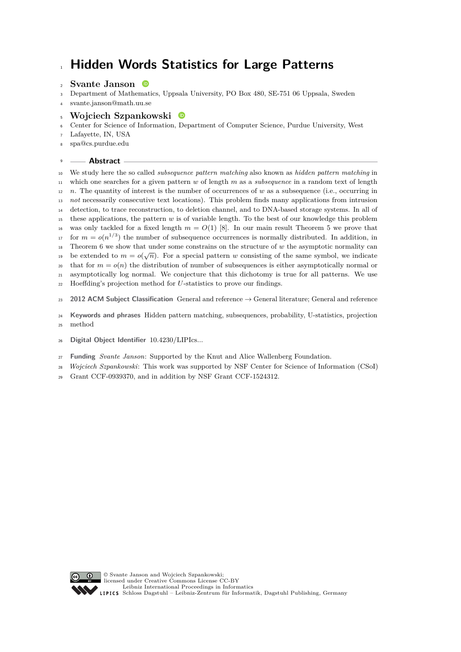# **Hidden Words Statistics for Large Patterns**

# **Svante Janson**

- Department of Mathematics, Uppsala University, PO Box 480, SE-751 06 Uppsala, Sweden
- [svante.janson@math.uu.se](mailto:svante.janson@math.uu.se)
- **Wojciech Szpankowski**
- Center for Science of Information, Department of Computer Science, Purdue University, West
- Lafayette, IN, USA
- [spa@cs.purdue.edu](mailto:spa@cs.purdue.edu)
- **Abstract**

 We study here the so called *subsequence pattern matching* also known as *hidden pattern matching* in which one searches for a given pattern *w* of length *m* as a *subsequence* in a random text of length  $n_1$  *n*. The quantity of interest is the number of occurrences of *w* as a subsequence (i.e., occurring in *not* necessarily consecutive text locations). This problem finds many applications from intrusion detection, to trace reconstruction, to deletion channel, and to DNA-based storage systems. In all of these applications, the pattern *w* is of variable length. To the best of our knowledge this problem <sup>16</sup> was only tackled for a fixed length  $m = O(1)$  [\[8\]](#page-13-0). In our main result Theorem [5](#page-5-0) we prove that  $f_{17}$  for  $m = o(n^{1/3})$  the number of subsequence occurrences is normally distributed. In addition, in <sup>18</sup> Theorem [6](#page-6-0) we show that under some constrains on the structure of *w* the asymptotic normality can be extended to  $m = o(\sqrt{n})$ . For a special pattern *w* consisting of the same symbol, we indicate <sup>20</sup> that for  $m = o(n)$  the distribution of number of subsequences is either asymptotically normal or asymptotically log normal. We conjecture that this dichotomy is true for all patterns. We use Hoeffding's projection method for *U*-statistics to prove our findings. **2012 ACM Subject Classification** General and reference → General literature; General and reference

 **Keywords and phrases** Hidden pattern matching, subsequences, probability, U-statistics, projection method

- **Digital Object Identifier** [10.4230/LIPIcs...](https://doi.org/10.4230/LIPIcs...)
- **Funding** *Svante Janson*: Supported by the Knut and Alice Wallenberg Foundation.
- *Wojciech Szpankowski*: This work was supported by NSF Center for Science of Information (CSoI)
- Grant CCF-0939370, and in addition by NSF Grant CCF-1524312.

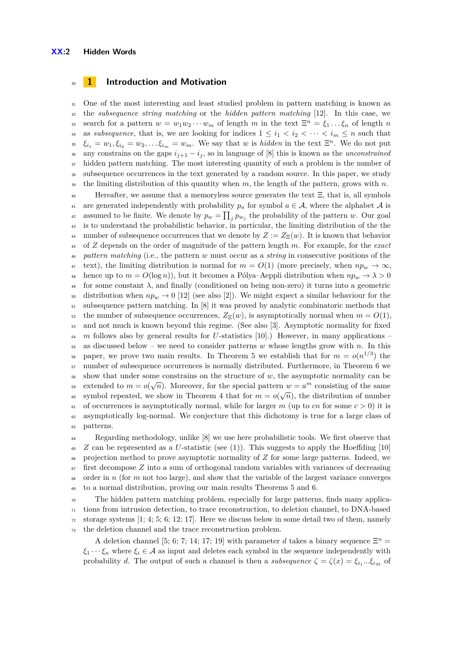## <sup>30</sup> **1 Introduction and Motivation**

<sup>31</sup> One of the most interesting and least studied problem in pattern matching is known as <sup>32</sup> the *subsequence string matching* or the *hidden pattern matching* [\[12\]](#page-13-1). In this case, we search for a pattern  $w = w_1 w_2 \cdots w_m$  of length *m* in the text  $\Xi^n = \xi_1 \ldots \xi_n$  of length *n* 34 as *subsequence*, that is, we are looking for indices  $1 \leq i_1 < i_2 < \cdots < i_m \leq n$  such that  $\xi_{i_1} = w_1, \xi_{i_2} = w_2, \ldots \xi_{i_m} = w_m$ . We say that *w* is *hidden* in the text  $\Xi^n$ . We do not put 36 any constrains on the gaps  $i_{j+1} - i_j$ , so in language of [\[8\]](#page-13-0) this is known as the *unconstrained* <sup>37</sup> hidden pattern matching. The most interesting quantity of such a problem is the number of <sup>38</sup> subsequence occurrences in the text generated by a random source. In this paper, we study <sup>39</sup> the limiting distribution of this quantity when *m*, the length of the pattern, grows with *n*.

<sup>40</sup> Hereafter, we assume that a memoryless source generates the text Ξ, that is, all symbols 41 are generated independently with probability  $p_a$  for symbol  $a \in \mathcal{A}$ , where the alphabet  $\mathcal{A}$  is assumed to be finite. We denote by  $p_w = \prod_j p_{w_j}$  the probability of the pattern *w*. Our goal <sup>43</sup> is to understand the probabilistic behavior, in particular, the limiting distribution of the the 44 number of subsequence occurrences that we denote by  $Z := Z_{\Xi}(w)$ . It is known that behavior <sup>45</sup> of *Z* depends on the order of magnitude of the pattern length *m*. For example, for the *exact* <sup>46</sup> *pattern matching* (i.e., the pattern *w* must occur as a *string* in consecutive positions of the  $\text{47 test}$ , the limiting distribution is normal for  $m = O(1)$  (more precisely, when  $np_w \to \infty$ , <sup>48</sup> hence up to  $m = O(\log n)$ , but it becomes a Pólya-Aeppli distribution when  $np_w \to \lambda > 0$ <sup>49</sup> for some constant *λ*, and finally (conditioned on being non-zero) it turns into a geometric 50 distribution when  $np_w \to 0$  [\[12\]](#page-13-1) (see also [\[2\]](#page-13-2)). We might expect a similar behaviour for the <sup>51</sup> subsequence pattern matching. In [\[8\]](#page-13-0) it was proved by analytic combinatoric methods that 52 the number of subsequence occurrences,  $Z_{\Xi}(w)$ , is asymptotically normal when  $m = O(1)$ , <sup>53</sup> and not much is known beyond this regime. (See also [\[3\]](#page-13-3). Asymptotic normality for fixed <sup>54</sup> *m* follows also by general results for *U*-statistics [\[10\]](#page-13-4).) However, in many applications – <sup>55</sup> as discussed below – we need to consider patterns *w* whose lengths grow with *n*. In this  $_{56}$  paper, we prove two main results. In Theorem [5](#page-5-0) we establish that for  $m = o(n^{1/3})$  the <sup>57</sup> number of subsequence occurrences is normally distributed. Furthermore, in Theorem [6](#page-6-0) we <sup>58</sup> show that under some constrains on the structure of *w*, the asymptotic normality can be extended to  $m = o(\sqrt{n})$ . Moreover, for the special pattern  $w = a^m$  consisting of the same symbol repeated, we show in Theorem [4](#page-4-0) that for  $m = o(\sqrt{n})$ , the distribution of number  $\epsilon_0$  of occurrences is asymptotically normal, while for larger *m* (up to *cn* for some  $c > 0$ ) it is <sup>62</sup> asymptotically log-normal. We conjecture that this dichotomy is true for a large class of <sup>63</sup> patterns.

 Regarding methodology, unlike [\[8\]](#page-13-0) we use here probabilistic tools. We first observe that  $\sigma$ <sub>5</sub> *Z* can be represented as a *U*-statistic (see [\(1\)](#page-2-0)). This suggests to apply the Hoeffding [\[10\]](#page-13-4) projection method to prove asymptotic normality of *Z* for some large patterns. Indeed, we  $\sigma$  first decompose  $Z$  into a sum of orthogonal random variables with variances of decreasing order in *n* (for *m* not too large), and show that the variable of the largest variance converges to a normal distribution, proving our main results Theorems [5](#page-5-0) and [6.](#page-6-0)

<sup>70</sup> The hidden pattern matching problem, especially for large patterns, finds many applica- $_{71}$  tions from intrusion detection, to trace reconstruction, to deletion channel, to DNA-based  $\frac{72}{12}$  storage systems [\[1;](#page-13-5) [4;](#page-13-6) [5;](#page-13-7) [6;](#page-13-8) [12;](#page-13-1) [17\]](#page-13-9). Here we discuss below in some detail two of them, namely <sup>73</sup> the deletion channel and the trace reconstruction problem.

A deletion channel [\[5;](#page-13-7) [6;](#page-13-8) [7;](#page-13-10) [14;](#page-13-11) [17;](#page-13-9) [19\]](#page-13-12) with parameter *d* takes a binary sequence  $\Xi^n =$  $\xi_1 \cdots \xi_n$  where  $\xi_i \in \mathcal{A}$  as input and deletes each symbol in the sequence independently with probability *d*. The output of such a channel is then a *subsequence*  $\zeta = \zeta(x) = \xi_{i_1}...\xi_{i_M}$  of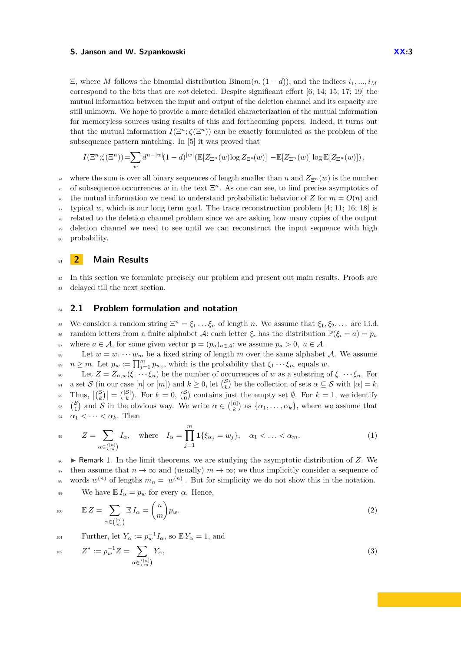$\Xi$ , where *M* follows the binomial distribution Binom $(n,(1-d))$ , and the indices  $i_1, ..., i_M$ correspond to the bits that are *not* deleted. Despite significant effort [\[6;](#page-13-8) [14;](#page-13-11) [15;](#page-13-13) [17;](#page-13-9) [19\]](#page-13-12) the mutual information between the input and output of the deletion channel and its capacity are still unknown. We hope to provide a more detailed characterization of the mutual information for memoryless sources using results of this and forthcoming papers. Indeed, it turns out that the mutual information  $I(\Xi^n; \zeta(\Xi^n))$  can be exactly formulated as the problem of the subsequence pattern matching. In [\[5\]](#page-13-7) it was proved that

$$
I(\Xi^n; \zeta(\Xi^n)) = \sum_w d^{n-|w|} (1-d)^{|w|} (\mathbb{E}[Z_{\Xi^n}(w) \log Z_{\Xi^n}(w)] - \mathbb{E}[Z_{\Xi^n}(w)] \log \mathbb{E}[Z_{\Xi^n}(w)]),
$$

<sup>74</sup> where the sum is over all binary sequences of length smaller than *n* and  $Z_{\Xi^n}(w)$  is the number <sup>75</sup> of subsequence occurrences w in the text  $\Xi<sup>n</sup>$ . As one can see, to find precise asymptotics of  $76$  the mutual information we need to understand probabilistic behavior of *Z* for  $m = O(n)$  and  $\pi$  typical w, which is our long term goal. The trace reconstruction problem [\[4;](#page-13-6) [11;](#page-13-14) [16;](#page-13-15) [18\]](#page-13-16) is <sup>78</sup> related to the deletion channel problem since we are asking how many copies of the output  $\sigma$  deletion channel we need to see until we can reconstruct the input sequence with high <sup>80</sup> probability.

# <sup>81</sup> **2 Main Results**

<sup>82</sup> In this section we formulate precisely our problem and present out main results. Proofs are <sup>83</sup> delayed till the next section.

# <span id="page-2-1"></span>84 **2.1 Problem formulation and notation**

<sup>85</sup> We consider a random string  $\Xi^n = \xi_1 \dots \xi_n$  of length *n*. We assume that  $\xi_1, \xi_2, \dots$  are i.i.d. 86 random letters from a finite alphabet A; each letter  $\xi_i$  has the distribution  $\mathbb{P}(\xi_i = a) = p_a$ 87 where  $a \in \mathcal{A}$ , for some given vector  $\mathbf{p} = (p_a)_{a \in \mathcal{A}}$ ; we assume  $p_a > 0$ ,  $a \in \mathcal{A}$ .

<sup>88</sup> Let  $w = w_1 \cdots w_m$  be a fixed string of length *m* over the same alphabet A. We assume  $p_{\omega}$  *n*  $\geq$  *m*. Let  $p_w := \prod_{j=1}^m p_{w_j}$ , which is the probability that  $\xi_1 \cdots \xi_m$  equals *w*.

90 Let  $Z = Z_{n,w}(\xi_1 \cdots \xi_n)$  be the number of occurrences of *w* as a substring of  $\xi_1 \cdots \xi_n$ . For  $\mathcal{S}_{91}$  a set  $\mathcal{S}$  (in our case  $[n]$  or  $[m]$ ) and  $k \geq 0$ , let  $\binom{\mathcal{S}}{k}$  be the collection of sets  $\alpha \subseteq \mathcal{S}$  with  $|\alpha| = k$ .  $\mathbb{R}^2$  Thus,  $|{S \choose k}| = |{S \choose k}$ . For  $k = 0$ ,  ${S \choose 0}$  contains just the empty set  $\emptyset$ . For  $k = 1$ , we identify 33  $\binom{S}{1}$  and S in the obvious way. We write  $\alpha \in \binom{[n]}{k}$  as  $\{\alpha_1, \ldots, \alpha_k\}$ , where we assume that  $\alpha_1 < \cdots < \alpha_k$ . Then

<span id="page-2-0"></span>
$$
Z = \sum_{\alpha \in \binom{[n]}{m}} I_{\alpha}, \quad \text{where} \quad I_{\alpha} = \prod_{j=1}^{m} \mathbf{1} \{ \xi_{\alpha_j} = w_j \}, \quad \alpha_1 < \ldots < \alpha_m. \tag{1}
$$

 $\bullet$  **Permark 1.** In the limit theorems, we are studying the asymptotic distribution of *Z*. We 97 then assume that  $n \to \infty$  and (usually)  $m \to \infty$ ; we thus implicitly consider a sequence of words  $w^{(n)}$  of lengths  $m_n = |w^{(n)}|$ . But for simplicity we do not show this in the notation. 99 We have  $\mathbb{E} I_{\alpha} = p_w$  for every  $\alpha$ . Hence,

<span id="page-2-3"></span>
$$
\mathbb{E} Z = \sum_{\alpha \in \binom{[n]}{m}} \mathbb{E} I_{\alpha} = \binom{n}{m} p_w.
$$
 (2)

<span id="page-2-2"></span>Further, let  $Y_\alpha := p_w^{-1} I_\alpha$ , so  $\mathbb{E} Y_\alpha = 1$ , and

$$
Z^* := p_w^{-1} Z = \sum_{\alpha \in \binom{[n]}{m}} Y_\alpha,\tag{3}
$$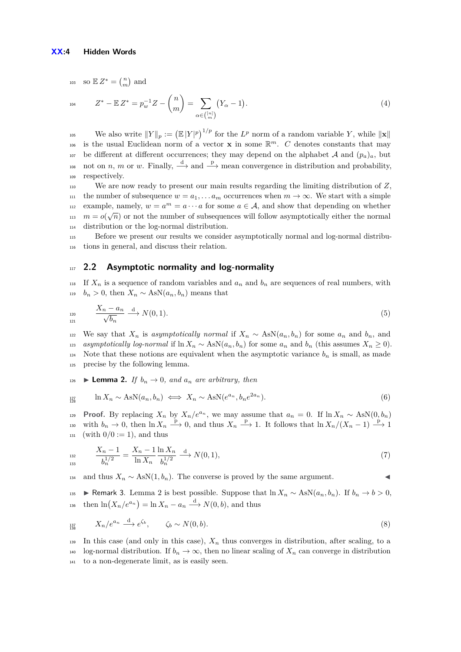<sup>103</sup> so  $\mathbb{E} Z^* = \binom{n}{m}$  and

$$
Z^* - \mathbb{E} Z^* = p_w^{-1} Z - {n \choose m} = \sum_{\alpha \in \binom{[n]}{m}} (Y_\alpha - 1).
$$
\n(4)

We also write  $||Y||_p := (\mathbb{E}|Y|^p)^{1/p}$  for the  $L^p$  norm of a random variable Y, while  $||\mathbf{x}||$ is the usual Euclidean norm of a vector **x** in some  $\mathbb{R}^m$ . *C* denotes constants that may <sup>107</sup> be different at different occurrences; they may depend on the alphabet A and  $(p_a)_a$ , but <sup>108</sup> not on *n*, *m* or *w*. Finally,  $\stackrel{d}{\longrightarrow}$  and  $\stackrel{p}{\longrightarrow}$  mean convergence in distribution and probability, <sup>109</sup> respectively.

<sup>110</sup> We are now ready to present our main results regarding the limiting distribution of *Z*, 111 the number of subsequence  $w = a_1, \ldots a_m$  occurrences when  $m \to \infty$ . We start with a simple <sup>112</sup> example, namely,  $w = a^m = a \cdots a$  for some  $a \in \mathcal{A}$ , and show that depending on whether  $m = o(\sqrt{n})$  or not the number of subsequences will follow asymptotically either the normal <sup>114</sup> distribution or the log-normal distribution.

<sup>115</sup> Before we present our results we consider asymptotically normal and log-normal distribu-<sup>116</sup> tions in general, and discuss their relation.

## <sup>117</sup> **2.2 Asymptotic normality and log-normality**

<sup>118</sup> If  $X_n$  is a sequence of random variables and  $a_n$  and  $b_n$  are sequences of real numbers, with 119  $b_n > 0$ , then  $X_n \sim \text{AsN}(a_n, b_n)$  means that

$$
\frac{X_n - a_n}{\sqrt{b_n}} \xrightarrow{d} N(0, 1). \tag{5}
$$

122 We say that  $X_n$  is *asymptotically normal* if  $X_n \sim \text{AsN}(a_n, b_n)$  for some  $a_n$  and  $b_n$ , and <sup>123</sup> *asymptotically log-normal* if ln *X<sup>n</sup>* ∼ AsN(*an, bn*) for some *a<sup>n</sup>* and *b<sup>n</sup>* (this assumes *X<sup>n</sup>* ≥ 0). 124 Note that these notions are equivalent when the asymptotic variance  $b_n$  is small, as made <sup>125</sup> precise by the following lemma.

<span id="page-3-0"></span>126 **Lemma 2.** *If*  $b_n \to 0$ *, and*  $a_n$  *are arbitrary, then* 

$$
\lim_{n \to \infty} X_n \sim \text{AsN}(a_n, b_n) \iff X_n \sim \text{AsN}(e^{a_n}, b_n e^{2a_n}). \tag{6}
$$

**Proof.** By replacing  $X_n$  by  $X_n/e^{a_n}$ , we may assume that  $a_n = 0$ . If  $\ln X_n \sim \text{AsN}(0, b_n)$  $\lim_{n \to \infty}$  with  $b_n \to 0$ , then  $\ln X_n \stackrel{p}{\longrightarrow} 0$ , and thus  $X_n \stackrel{p}{\longrightarrow} 1$ . It follows that  $\ln X_n/(X_n-1) \stackrel{p}{\longrightarrow} 1$  $131$  (with  $0/0 := 1$ ), and thus

$$
\frac{X_n - 1}{b_n^{1/2}} = \frac{X_n - 1}{\ln X_n} \frac{\ln X_n}{b_n^{1/2}} \xrightarrow{d} N(0, 1),\tag{7}
$$

134 and thus  $X_n \sim \text{AsN}(1, b_n)$ . The converse is proved by the same argument.

135 ► Remark 3. Lemma [2](#page-3-0) is best possible. Suppose that  $\ln X_n \sim \text{AsN}(a_n, b_n)$ . If  $b_n \to b > 0$ , then  $\ln(X_n/e^{a_n}) = \ln X_n - a_n \stackrel{\text{d}}{\longrightarrow} N(0, b)$ , and thus

$$
X_n/e^{a_n} \xrightarrow{d} e^{\zeta_b}, \qquad \zeta_b \sim N(0, b). \tag{8}
$$

139 In this case (and only in this case),  $X_n$  thus converges in distribution, after scaling, to a 140 log-normal distribution. If  $b_n \to \infty$ , then no linear scaling of  $X_n$  can converge in distribution <sup>141</sup> to a non-degenerate limit, as is easily seen.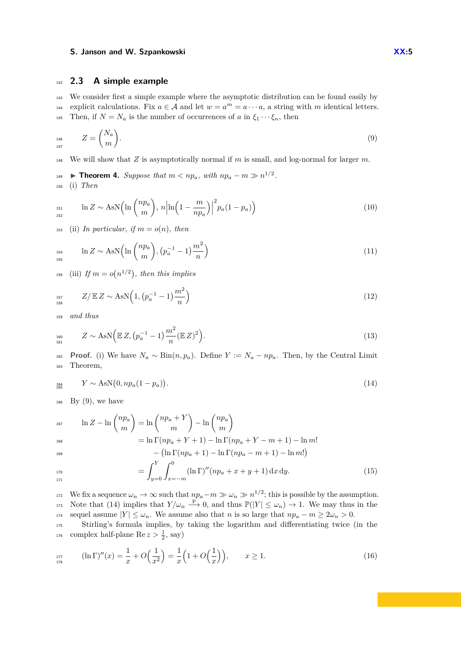## <sup>142</sup> **2.3 A simple example**

<sup>143</sup> We consider first a simple example where the asymptotic distribution can be found easily by explicit calculations. Fix  $a \in \mathcal{A}$  and let  $w = a^m = a \cdots a$ , a string with *m* identical letters. 145 Then, if  $N = N_a$  is the number of occurrences of *a* in  $\xi_1 \cdots \xi_n$ , then

<span id="page-4-1"></span>
$$
Z = \binom{N_a}{m}.\tag{9}
$$

<sup>148</sup> We will show that *Z* is asymptotically normal if *m* is small, and log-normal for larger *m*.

<span id="page-4-0"></span>**If Theorem 4.** Suppose that  $m < np_a$ , with  $np_a - m \gg n^{1/2}$ . <sup>150</sup> (i) *Then*

<span id="page-4-4"></span>
$$
\ln Z \sim \text{AsN}\left(\ln\left(\frac{np_a}{m}\right), n\left|\ln\left(1 - \frac{m}{np_a}\right)\right|^2 p_a (1 - p_a)\right) \tag{10}
$$

153 (ii) *In particular, if*  $m = o(n)$ *, then* 

<span id="page-4-5"></span>
$$
\ln Z \sim \text{AsN}\left(\ln\left(\frac{np_a}{m}\right), \left(p_a^{-1} - 1\right)\frac{m^2}{n}\right) \tag{11}
$$

<span id="page-4-6"></span> $\mu_{156}$  (iii) If  $m = o(n^{1/2})$ , then this implies

$$
Z/\mathbb{E} Z \sim \text{AsN}\left(1, \left(p_a^{-1} - 1\right)\frac{m^2}{n}\right) \tag{12}
$$

<sup>159</sup> *and thus*

<span id="page-4-7"></span>
$$
Z \sim \text{AsN}\Big(\mathbb{E}\,Z, \big(p_a^{-1} - 1\big)\frac{m^2}{n}(\mathbb{E}\,Z)^2\Big). \tag{13}
$$

162 **Proof.** (i) We have  $N_a \sim \text{Bin}(n, p_a)$ . Define  $Y := N_a - np_a$ . Then, by the Central Limit <sup>163</sup> Theorem,

<span id="page-4-2"></span>
$$
Y \sim \text{AsN}(0, np_a(1 - p_a)). \tag{14}
$$

 $_{166}$  By [\(9\)](#page-4-1), we have

$$
\ln Z - \ln \binom{n p_a}{m} = \ln \binom{n p_a + Y}{m} - \ln \binom{n p_a}{m}
$$
  
\n
$$
= \ln \Gamma(n p_a + Y + 1) - \ln \Gamma(n p_a + Y - m + 1) - \ln m!
$$
  
\n
$$
- (\ln \Gamma(n p_a + 1) - \ln \Gamma(n p_a - m + 1) - \ln m!)
$$
  
\n
$$
= \int_{y=0}^{Y} \int_{x=-m}^{0} (\ln \Gamma)''(n p_a + x + y + 1) dx dy.
$$
 (15)

<span id="page-4-3"></span>We fix a sequence  $\omega_n \to \infty$  such that  $np_a - m \gg \omega_n \gg n^{1/2}$ ; this is possible by the assumption. 173 Note that [\(14\)](#page-4-2) implies that  $Y/\omega_n \stackrel{\text{p}}{\longrightarrow} 0$ , and thus  $\mathbb{P}(|Y| \leq \omega_n) \to 1$ . We may thus in the 174 sequel assume  $|Y| \leq \omega_n$ . We assume also that *n* is so large that  $np_a - m \geq 2\omega_n > 0$ .

<sup>175</sup> Stirling's formula implies, by taking the logarithm and differentiating twice (in the <sup>176</sup> complex half-plane Re  $z > \frac{1}{2}$ , say)

$$
\lim_{x \to 7} (\ln \Gamma)''(x) = \frac{1}{x} + O\Big(\frac{1}{x^2}\Big) = \frac{1}{x} \Big(1 + O\Big(\frac{1}{x}\Big)\Big), \qquad x \ge 1. \tag{16}
$$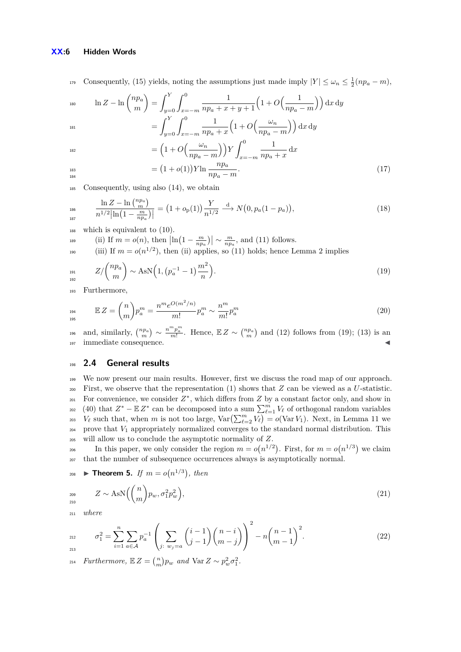#### **XX:6 Hidden Words**

Consequently, [\(15\)](#page-4-3) yields, noting the assumptions just made imply  $|Y| \leq \omega_n \leq \frac{1}{2}(np_a - m)$ ,

$$
\ln Z - \ln \binom{n p_a}{m} = \int_{y=0}^{Y} \int_{x=-m}^{0} \frac{1}{n p_a + x + y + 1} \left( 1 + O\left(\frac{1}{n p_a - m}\right) \right) dx dy
$$

$$
= \int_{y=0}^{Y} \int_{x=-m}^{0} \frac{1}{n p_a + x} \left( 1 + O\left(\frac{\omega_n}{n p_a - m}\right) \right) dx dy
$$

187

$$
= \left(1 + O\left(\frac{\omega_n}{np_a - m}\right)\right) Y \int_{x = -m}^0 \frac{1}{np_a + x} dx
$$

$$
= (1 + o(1)) V! n \quad np_a
$$

$$
\frac{183}{184}
$$

 $= (1 + o(1)) Y \ln \frac{np_a}{np_a - m}.$  (17)

<sup>185</sup> Consequently, using also [\(14\)](#page-4-2), we obtain

$$
\frac{\ln Z - \ln {n p_a \choose m}}{n^{1/2} |\ln (1 - \frac{m}{np_a})|} = (1 + o_p(1)) \frac{Y}{n^{1/2}} \xrightarrow{d} N(0, p_a(1 - p_a)),
$$
\n(18)

<sup>188</sup> which is equivalent to [\(10\)](#page-4-4).

189 (ii) If  $m = o(n)$ , then  $\left| \ln \left( 1 - \frac{m}{np_a} \right) \right| \sim \frac{m}{np_a}$ , and [\(11\)](#page-4-5) follows.

<span id="page-5-1"></span><sup>190</sup> (iii) If  $m = o(n^{1/2})$ , then (ii) applies, so [\(11\)](#page-4-5) holds; hence Lemma [2](#page-3-0) implies

$$
Z/\binom{n p_a}{m} \sim \text{AsN}\Big(1, \big(p_a^{-1} - 1\big)\frac{m^2}{n}\Big). \tag{19}
$$

<sup>193</sup> Furthermore,

$$
E Z = {n \choose m} p_a^m = \frac{n^m e^{O(m^2/n)}}{m!} p_a^m \sim \frac{n^m}{m!} p_a^m
$$
 (20)

196 and, similarly,  $\binom{np_a}{m} \sim \frac{n^m p_a^m}{m!}$ . Hence,  $\mathbb{E} Z \sim \binom{np_a}{m}$  and [\(12\)](#page-4-6) follows from [\(19\)](#page-5-1); [\(13\)](#page-4-7) is an 197 immediate consequence.

## <sup>198</sup> **2.4 General results**

<sup>199</sup> We now present our main results. However, first we discuss the road map of our approach. 200 First, we observe that the representation  $(1)$  shows that  $Z$  can be viewed as a  $U$ -statistic.  $_{201}$  For convenience, we consider  $Z^*$ , which differs from  $Z$  by a constant factor only, and show in <sup>202</sup> [\(40\)](#page-7-0) that  $Z^* - \mathbb{E} Z^*$  can be decomposed into a sum  $\sum_{\ell=1}^m V_\ell$  of orthogonal random variables <sup>203</sup>  $V_{\ell}$  such that, when *m* is not too large,  $Var\left(\sum_{\ell=2}^{m} V_{\ell}\right) = o(Var V_1)$ . Next, in Lemma [11](#page-11-0) we <sup>204</sup> prove that *V*<sup>1</sup> appropriately normalized converges to the standard normal distribution. This <sup>205</sup> will allow us to conclude the asymptotic normality of *Z*.

206 In this paper, we only consider the region  $m = o(n^{1/2})$ . First, for  $m = o(n^{1/3})$  we claim <sup>207</sup> that the number of subsequence occurrences always is asymptotically normal.

<span id="page-5-0"></span>208 **Theorem 5.** If 
$$
m = o(n^{1/3})
$$
, then

<span id="page-5-2"></span>
$$
Z \sim \text{AsN}\left(\binom{n}{m}p_w, \sigma_1^2 p_w^2\right),\tag{21}
$$

<sup>211</sup> *where*

$$
P_{212}^{212} \qquad \sigma_1^2 = \sum_{i=1}^n \sum_{a \in \mathcal{A}} p_a^{-1} \left( \sum_{j \colon w_j = a} {i-1 \choose j-1} {n-i \choose m-j} \right)^2 - n {n-1 \choose m-1}^2.
$$
 (22)

*Furthermore,*  $\mathbb{E} Z = \binom{n}{m} p_w$  *and*  $\text{Var } Z \sim p_w^2 \sigma_1^2$ .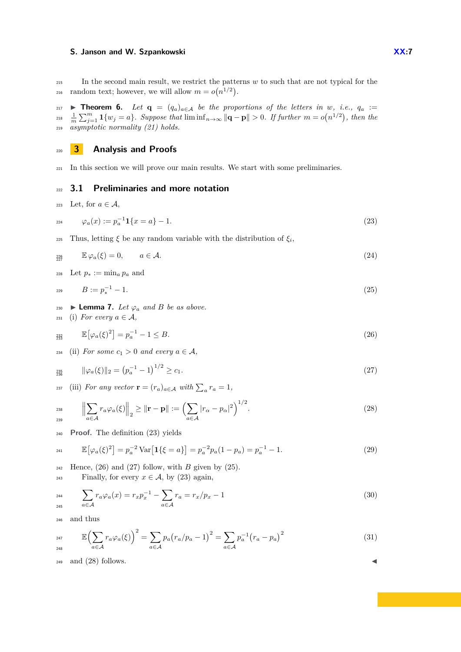<sup>215</sup> In the second main result, we restrict the patterns *w* to such that are not typical for the random text; however, we will allow  $m = o(n^{1/2})$ .

<span id="page-6-0"></span>217 **Fineorem 6.** *Let*  $q = (q_a)_{a \in A}$  *be the proportions of the letters in w, i.e.,*  $q_a :=$  $\frac{1}{m}\sum_{j=1}^{m} \mathbf{1}\{w_j = a\}$ *. Suppose that*  $\liminf_{n\to\infty} ||\mathbf{q} - \mathbf{p}|| > 0$ *. If further*  $m = o(n^{1/2})$ *, then the* <sup>219</sup> *asymptotic normality [\(21\)](#page-5-2) holds.*

<sup>220</sup> **3 Analysis and Proofs**

<sup>221</sup> In this section we will prove our main results. We start with some preliminaries.

## <sup>222</sup> **3.1 Preliminaries and more notation**

<span id="page-6-1"></span>223 Let, for  $a \in \mathcal{A}$ ,

$$
\varphi_a(x) := p_a^{-1} \mathbf{1} \{ x = a \} - 1. \tag{23}
$$

Thus, letting  $\xi$  be any random variable with the distribution of  $\xi_i$ ,

$$
\mathbb{E}\,\varphi_a(\xi) = 0, \qquad a \in \mathcal{A}.\tag{24}
$$

<span id="page-6-4"></span>228 Let  $p_* := \min_a p_a$  and

$$
B := p_*^{-1} - 1. \tag{25}
$$

- 230 ► **Lemma 7.** *Let*  $\varphi_a$  *and B be as above.*
- 231 (i) For every  $a \in \mathcal{A}$ ,

$$
\mathbb{E}\left[\varphi_a(\xi)^2\right] = p_a^{-1} - 1 \le B. \tag{26}
$$

234 (ii) For some  $c_1 > 0$  and every  $a \in \mathcal{A}$ ,

$$
\lim_{235} \qquad \|\varphi_a(\xi)\|_2 = \left(p_a^{-1} - 1\right)^{1/2} \ge c_1. \tag{27}
$$

(iii) For any vector  $\mathbf{r} = (r_a)_{a \in \mathcal{A}}$  with  $\sum_a r_a = 1$ ,

$$
\left\| \sum_{a \in \mathcal{A}} r_a \varphi_a(\xi) \right\|_2 \geq \left\| \mathbf{r} - \mathbf{p} \right\| := \left( \sum_{a \in \mathcal{A}} |r_\alpha - p_\alpha|^2 \right)^{1/2}.
$$
 (28)

<sup>240</sup> **Proof.** The definition [\(23\)](#page-6-1) yields

$$
\mathbb{E}\left[\varphi_a(\xi)^2\right] = p_a^{-2} \operatorname{Var}\left[\mathbf{1}\{\xi = a\}\right] = p_a^{-2} p_a (1 - p_a) = p_a^{-1} - 1. \tag{29}
$$

 $_{242}$  Hence, [\(26\)](#page-6-2) and [\(27\)](#page-6-3) follow, with *B* given by [\(25\)](#page-6-4).

 $\text{Finally, for every } x \in \mathcal{A}, \text{ by (23) again,}$  $\text{Finally, for every } x \in \mathcal{A}, \text{ by (23) again,}$  $\text{Finally, for every } x \in \mathcal{A}, \text{ by (23) again,}$ 

$$
\sum_{a \in A} r_a \varphi_a(x) = r_x p_x^{-1} - \sum_{a \in A} r_a = r_x / p_x - 1 \tag{30}
$$

<sup>246</sup> and thus

$$
\mathbb{E}\left(\sum_{a \in \mathcal{A}} r_a \varphi_a(\xi)\right)^2 = \sum_{a \in \mathcal{A}} p_a (r_a / p_a - 1)^2 = \sum_{a \in \mathcal{A}} p_a^{-1} (r_a - p_a)^2 \tag{31}
$$

 $_{249}$  and  $(28)$  follows.

<span id="page-6-6"></span><span id="page-6-5"></span><span id="page-6-3"></span><span id="page-6-2"></span>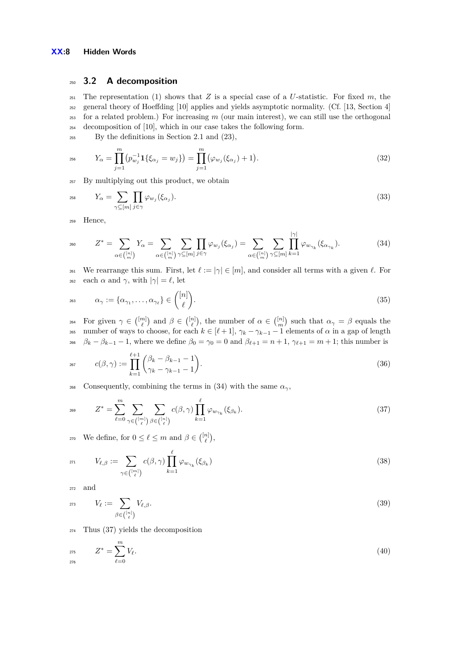## <sup>250</sup> **3.2 A decomposition**

 The representation [\(1\)](#page-2-0) shows that *Z* is a special case of a *U*-statistic. For fixed *m*, the general theory of Hoeffding [\[10\]](#page-13-4) applies and yields asymptotic normality. (Cf. [\[13,](#page-13-17) Section 4] for a related problem.) For increasing *m* (our main interest), we can still use the orthogonal decomposition of [\[10\]](#page-13-4), which in our case takes the following form.

<sup>255</sup> By the definitions in Section [2.1](#page-2-1) and [\(23\)](#page-6-1),

$$
Y_{\alpha} = \prod_{j=1}^{m} (p_{w_j}^{-1} \mathbf{1} \{ \xi_{\alpha_j} = w_j \}) = \prod_{j=1}^{m} (\varphi_{w_j}(\xi_{\alpha_j}) + 1).
$$
 (32)

<sup>257</sup> By multiplying out this product, we obtain

$$
Y_{\alpha} = \sum_{\gamma \subseteq [m]} \prod_{j \in \gamma} \varphi_{w_j}(\xi_{\alpha_j}). \tag{33}
$$

<span id="page-7-1"></span><sup>259</sup> Hence,

$$
Z^* = \sum_{\alpha \in \binom{[n]}{m}} Y_{\alpha} = \sum_{\alpha \in \binom{[n]}{m}} \sum_{\gamma \subseteq [m]} \prod_{j \in \gamma} \varphi_{w_j}(\xi_{\alpha_j}) = \sum_{\alpha \in \binom{[n]}{m}} \sum_{\gamma \subseteq [m]} \prod_{k=1}^{|\gamma|} \varphi_{w_{\gamma_k}}(\xi_{\alpha_{\gamma_k}}). \tag{34}
$$

<sup>261</sup> We rearrange this sum. First, let  $\ell := |\gamma| \in [m]$ , and consider all terms with a given  $\ell$ . For <sup>262</sup> each  $\alpha$  and  $\gamma$ , with  $|\gamma| = \ell$ , let

$$
\alpha_{\gamma} := \{ \alpha_{\gamma_1}, \dots, \alpha_{\gamma_{\ell}} \} \in \binom{[n]}{\ell}.
$$
\n(35)

 $\alpha_1 \in \binom{[m]}{\ell}$  and  $\beta \in \binom{[n]}{\ell}$ , the number of  $\alpha \in \binom{[n]}{m}$  such that  $\alpha_\gamma = \beta$  equals the <sup>265</sup> number of ways to choose, for each  $k \in [\ell + 1]$ ,  $\gamma_k - \gamma_{k-1} - 1$  elements of  $\alpha$  in a gap of length 266 *β*<sub>*k*</sub> − *β*<sub>*k*-1</sub> − 1, where we define  $β_0 = γ_0 = 0$  and  $β_{\ell+1} = n + 1$ ,  $γ_{\ell+1} = m + 1$ ; this number is

<span id="page-7-3"></span>
$$
c(\beta, \gamma) := \prod_{k=1}^{\ell+1} \binom{\beta_k - \beta_{k-1} - 1}{\gamma_k - \gamma_{k-1} - 1}.
$$
\n(36)

<span id="page-7-2"></span><sup>268</sup> Consequently, combining the terms in [\(34\)](#page-7-1) with the same  $\alpha_{\gamma}$ ,

$$
Z^* = \sum_{\ell=0}^m \sum_{\gamma \in \binom{[m]}{\ell}} \sum_{\beta \in \binom{[n]}{\ell}} c(\beta, \gamma) \prod_{k=1}^{\ell} \varphi_{w_{\gamma_k}}(\xi_{\beta_k}). \tag{37}
$$

<span id="page-7-4"></span>270 We define, for  $0 \leq \ell \leq m$  and  $\beta \in \binom{[n]}{\ell},$ 

$$
V_{\ell,\beta} := \sum_{\gamma \in \binom{[m]}{\ell}} c(\beta,\gamma) \prod_{k=1}^{\ell} \varphi_{w_{\gamma_k}}(\xi_{\beta_k}) \tag{38}
$$

<span id="page-7-5"></span><sup>272</sup> and

$$
V_{\ell} := \sum_{\beta \in \binom{[n]}{\ell}} V_{\ell,\beta}.\tag{39}
$$

<sup>274</sup> Thus [\(37\)](#page-7-2) yields the decomposition

<span id="page-7-0"></span>
$$
Z^* = \sum_{\ell=0}^m V_\ell. \tag{40}
$$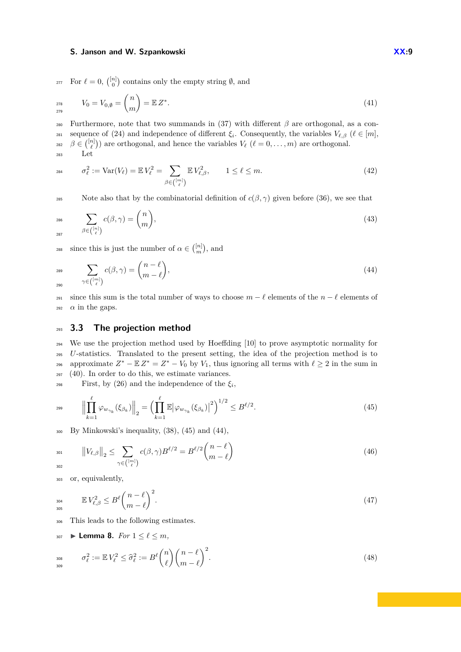<sup>277</sup> For  $\ell = 0$ ,  $\binom{[n]}{0}$  contains only the empty string  $\emptyset$ , and

$$
V_0 = V_{0,\emptyset} = \binom{n}{m} = \mathbb{E} Z^*.
$$
\n(41)

<sup>280</sup> Furthermore, note that two summands in [\(37\)](#page-7-2) with different  $β$  are orthogonal, as a con-sequence of [\(24\)](#page-6-6) and independence of different  $\xi_i$ . Consequently, the variables  $V_{\ell,\beta}$  ( $\ell \in [m]$ , <sup>282</sup>  $\beta \in \binom{[n]}{\ell}$  are orthogonal, and hence the variables  $V_{\ell}$  ( $\ell = 0, \ldots, m$ ) are orthogonal. <sup>283</sup> Let

<span id="page-8-3"></span>
$$
\sigma_{\ell}^2 := \text{Var}(V_{\ell}) = \mathbb{E} V_{\ell}^2 = \sum_{\beta \in \binom{[m]}{\ell}} \mathbb{E} V_{\ell,\beta}^2, \qquad 1 \le \ell \le m. \tag{42}
$$

285 Note also that by the combinatorial definition of  $c(\beta, \gamma)$  given before [\(36\)](#page-7-3), we see that

<span id="page-8-6"></span>
$$
\sum_{287} c(\beta, \gamma) = {n \choose m},\tag{43}
$$

<span id="page-8-1"></span>since this is just the number of  $\alpha \in \binom{[n]}{m}$ , and

$$
\sum_{290}^{289} \sum_{\gamma \in \binom{[m]}{\ell}} c(\beta, \gamma) = \binom{n-\ell}{m-\ell},\tag{44}
$$

291 since this sum is the total number of ways to choose  $m - \ell$  elements of the  $n - \ell$  elements of  $\alpha$  in the gaps.

## <sup>293</sup> **3.3 The projection method**

 We use the projection method used by Hoeffding [\[10\]](#page-13-4) to prove asymptotic normality for *U*-statistics. Translated to the present setting, the idea of the projection method is to approximate  $Z^* - \mathbb{E} Z^* = Z^* - V_0$  by  $V_1$ , thus ignoring all terms with  $\ell \geq 2$  in the sum in [\(40\)](#page-7-0). In order to do this, we estimate variances.

<span id="page-8-0"></span>First, by [\(26\)](#page-6-2) and the independence of the  $\xi_i$ ,

$$
\left\| \prod_{k=1}^{\ell} \varphi_{w_{\gamma_k}}(\xi_{\beta_k}) \right\|_2 = \left( \prod_{k=1}^{\ell} \mathbb{E} |\varphi_{w_{\gamma_k}}(\xi_{\beta_k})|^2 \right)^{1/2} \le B^{\ell/2}.
$$
\n(45)

 $300$  By Minkowski's inequality,  $(38)$ ,  $(45)$  and  $(44)$ ,

<span id="page-8-5"></span>
$$
\|V_{\ell,\beta}\|_{2} \leq \sum_{\gamma \in \binom{[m]}{\ell}} c(\beta,\gamma) B^{\ell/2} = B^{\ell/2} \binom{n-\ell}{m-\ell} \tag{46}
$$

<sup>303</sup> or, equivalently,

<span id="page-8-2"></span>
$$
\mathbb{E} V_{\ell,\beta}^2 \le B^\ell \binom{n-\ell}{m-\ell}^2. \tag{47}
$$

<sup>306</sup> This leads to the following estimates.

$$
307 \quad \blacktriangleright \textbf{Lemma 8.} \quad For \ 1 \leq \ell \leq m,
$$

<span id="page-8-4"></span>
$$
\sigma_{\ell}^{2} := \mathbb{E} V_{\ell}^{2} \leq \widehat{\sigma}_{\ell}^{2} := B^{\ell} \binom{n}{\ell} \binom{n-\ell}{m-\ell}^{2}.
$$
\n(48)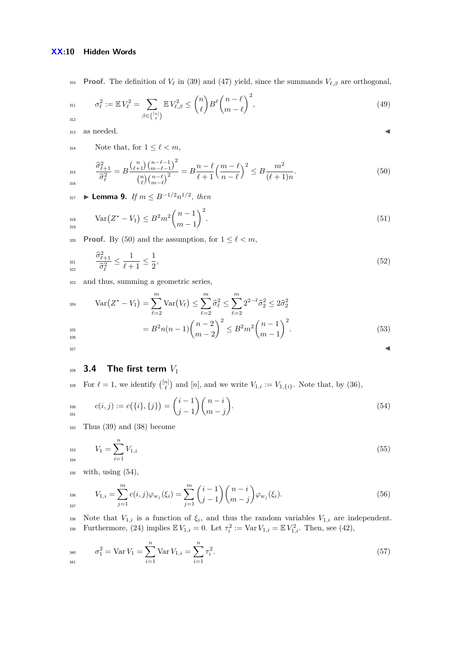310 **Proof.** The definition of  $V_\ell$  in [\(39\)](#page-7-5) and [\(47\)](#page-8-2) yield, since the summands  $V_{\ell,\beta}$  are orthogonal,

$$
\sigma_{\ell}^{2} := \mathbb{E} V_{\ell}^{2} = \sum_{\beta \in \binom{[n]}{\ell}} \mathbb{E} V_{\ell,\beta}^{2} \le \binom{n}{\ell} B^{\ell} \binom{n-\ell}{m-\ell}^{2},\tag{49}
$$

 $\alpha$  as needed.

314 Note that, for  $1 \leq \ell < m$ ,

$$
\frac{\widehat{\sigma}_{\ell+1}^2}{\widehat{\sigma}_{\ell}^2} = B \frac{\binom{n}{\ell+1} \binom{n-\ell-1}{m-\ell-1}^2}{\binom{n}{\ell} \binom{n-\ell}{m-\ell}^2} = B \frac{n-\ell}{\ell+1} \left(\frac{m-\ell}{n-\ell}\right)^2 \le B \frac{m^2}{(\ell+1)n}.
$$
\n(50)

<span id="page-9-4"></span>317 **► Lemma 9.** *If*  $m ≤ B^{-1/2}n^{1/2}$ , *then* 

$$
\text{Var}\left(Z^* - V_1\right) \le B^2 m^2 \binom{n-1}{m-1}^2. \tag{51}
$$

320 **Proof.** By [\(50\)](#page-9-0) and the assumption, for  $1 \leq \ell < m$ ,

$$
\frac{\hat{\sigma}_{\ell+1}^2}{\hat{\sigma}_{\ell}^2} \le \frac{1}{\ell+1} \le \frac{1}{2},\tag{52}
$$

<sup>323</sup> and thus, summing a geometric series,

$$
\begin{aligned}\n\text{Var}\left(Z^* - V_1\right) &= \sum_{\ell=2}^m \text{Var}\left(V_\ell\right) \le \sum_{\ell=2}^m \hat{\sigma}_\ell^2 \le \sum_{\ell=2}^m 2^{2-\ell} \hat{\sigma}_2^2 \le 2\hat{\sigma}_2^2 \\
&= B^2 n(n-1) \binom{n-2}{m-2}^2 \le B^2 m^2 \binom{n-1}{m-1}^2.\n\end{aligned} \tag{53}
$$

# <sup>328</sup> **3.4 The first term** *V*<sup>1</sup>

For  $\ell = 1$ , we identify  $\binom{[n]}{\ell}$  and  $[n]$ , and we write  $V_{1,i} := V_{1,\{i\}}$ . Note that, by [\(36\)](#page-7-3),

$$
c(i,j) := c(\{i\},\{j\}) = {i-1 \choose j-1} {n-i \choose m-j}.
$$
\n(54)

<sup>332</sup> Thus [\(39\)](#page-7-5) and [\(38\)](#page-7-4) become

<span id="page-9-5"></span>
$$
V_1 = \sum_{i=1}^{n} V_{1,i} \tag{55}
$$

<sup>335</sup> with, using [\(54\)](#page-9-1),

<span id="page-9-2"></span>
$$
V_{1,i} = \sum_{j=1}^{m} c(i,j) \varphi_{w_j}(\xi_i) = \sum_{j=1}^{m} {i-1 \choose j-1} {n-i \choose m-j} \varphi_{w_j}(\xi_i).
$$
 (56)

338 Note that  $V_{1,i}$  is a function of  $\xi_i$ , and thus the random variables  $V_{1,i}$  are independent. Furthermore, [\(24\)](#page-6-6) implies  $\mathbb{E} V_{1,i} = 0$ . Let  $\tau_i^2 := \text{Var} V_{1,i} = \mathbb{E} V_{1,i}^2$ . Then, see [\(42\)](#page-8-3),

<span id="page-9-3"></span>
$$
\sigma_1^2 = \text{Var}\,V_1 = \sum_{i=1}^n \text{Var}\,V_{1,i} = \sum_{i=1}^n \tau_i^2. \tag{57}
$$

<span id="page-9-1"></span><span id="page-9-0"></span>
$$
\overline{}
$$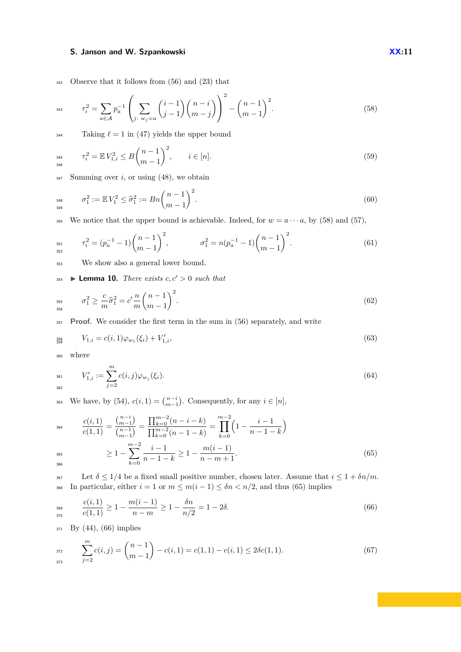<span id="page-10-0"></span><sup>342</sup> Observe that it follows from [\(56\)](#page-9-2) and [\(23\)](#page-6-1) that

343 
$$
\tau_i^2 = \sum_{a \in \mathcal{A}} p_a^{-1} \left( \sum_{j:\ w_j = a} {i-1 \choose j-1} {n-i \choose m-j} \right)^2 - {n-1 \choose m-1}^2.
$$
 (58)

 $\frac{344}{ }$  Taking  $\ell = 1$  in [\(47\)](#page-8-2) yields the upper bound

<span id="page-10-7"></span>
$$
T_i^2 = \mathbb{E} V_{1,i}^2 \le B \binom{n-1}{m-1}^2, \qquad i \in [n]. \tag{59}
$$

 $347$  Summing over *i*, or using [\(48\)](#page-8-4), we obtain

$$
\sigma_1^2 := \mathbb{E} V_1^2 \le \hat{\sigma}_1^2 := Bn \binom{n-1}{m-1}^2. \tag{60}
$$

350 We notice that the upper bound is achievable. Indeed, for  $w = a \cdots a$ , by [\(58\)](#page-10-0) and [\(57\)](#page-9-3),

$$
\tau_i^2 = (p_a^{-1} - 1) \binom{n-1}{m-1}^2, \qquad \sigma_1^2 = n(p_a^{-1} - 1) \binom{n-1}{m-1}^2. \tag{61}
$$

<sup>353</sup> We show also a general lower bound.

<span id="page-10-6"></span><span id="page-10-5"></span> $\sum_{354}$  **Lemma 10.** *There exists*  $c, c' > 0$  *such that* 

$$
\sigma_1^2 \ge \frac{c}{m}\hat{\sigma}_1^2 = c'\frac{n}{m}\binom{n-1}{m-1}^2.
$$
\n(62)

<sup>357</sup> **Proof.** We consider the first term in the sum in [\(56\)](#page-9-2) separately, and write

$$
V_{1,i} = c(i,1)\varphi_{w_1}(\xi_i) + V'_{1,i},\tag{63}
$$

<span id="page-10-4"></span><span id="page-10-3"></span><sup>360</sup> where

$$
V'_{1,i} := \sum_{j=2}^{m} c(i,j) \varphi_{w_j}(\xi_i). \tag{64}
$$

363 We have, by [\(54\)](#page-9-1),  $c(i, 1) = {n-i \choose m-1}$ . Consequently, for any  $i \in [n]$ ,

$$
c(i,1) = \frac{\binom{n-i}{m-1}}{\binom{n-1}{m-1}} = \frac{\prod_{k=0}^{m-2} (n-i-k)}{\prod_{k=0}^{m-2} (n-1-k)} = \prod_{k=0}^{m-2} \left(1 - \frac{i-1}{n-1-k}\right)
$$
  
\n
$$
\geq 1 - \sum_{k=0}^{m-2} \frac{i-1}{n-1-k} \geq 1 - \frac{m(i-1)}{n-m+1}.
$$
 (65)

<span id="page-10-1"></span>367 Let  $\delta \leq 1/4$  be a fixed small positive number, chosen later. Assume that  $i \leq 1 + \delta n/m$ . 368 In particular, either  $i = 1$  or  $m \le m(i - 1) \le \delta n < n/2$ , and thus [\(65\)](#page-10-1) implies

<span id="page-10-2"></span>
$$
\frac{c(i,1)}{c(1,1)} \ge 1 - \frac{m(i-1)}{n-m} \ge 1 - \frac{\delta n}{n/2} = 1 - 2\delta. \tag{66}
$$

<sup>371</sup> By [\(44\)](#page-8-1), [\(66\)](#page-10-2) implies

$$
\sum_{j=2}^{m} c(i,j) = {n-1 \choose m-1} - c(i,1) = c(1,1) - c(i,1) \le 2\delta c(1,1). \tag{67}
$$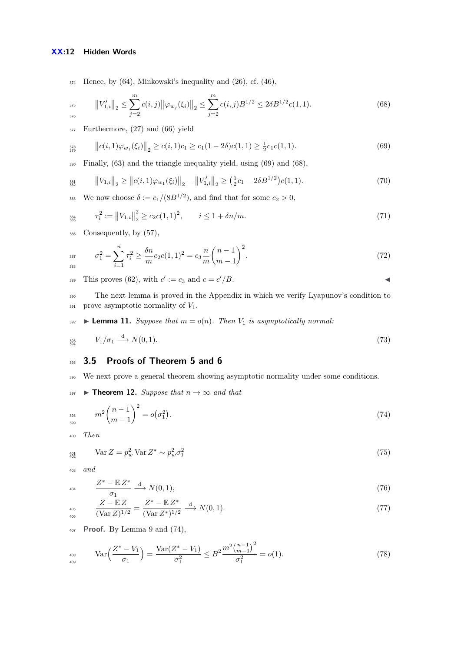## **XX:12 Hidden Words**

 $374$  Hence, by [\(64\)](#page-10-3), Minkowski's inequality and [\(26\)](#page-6-2), cf. [\(46\)](#page-8-5),

<span id="page-11-2"></span>
$$
\|V'_{1,i}\|_2 \le \sum_{j=2}^m c(i,j) \|\varphi_{w_j}(\xi_i)\|_2 \le \sum_{j=2}^m c(i,j) B^{1/2} \le 2\delta B^{1/2} c(1,1). \tag{68}
$$

377 Furthermore,  $(27)$  and  $(66)$  yield

<span id="page-11-1"></span>
$$
\|c(i,1)\varphi_{w_1}(\xi_i)\|_2 \ge c(i,1)c_1 \ge c_1(1-2\delta)c(1,1) \ge \frac{1}{2}c_1c(1,1). \tag{69}
$$

<sup>380</sup> Finally, [\(63\)](#page-10-4) and the triangle inequality yield, using [\(69\)](#page-11-1) and [\(68\)](#page-11-2),

$$
\|V_{1,i}\|_2 \ge \|c(i,1)\varphi_{w_1}(\xi_i)\|_2 - \|V'_{1,i}\|_2 \ge (\frac{1}{2}c_1 - 2\delta B^{1/2})c(1,1). \tag{70}
$$

We now choose  $\delta := c_1/(8B^{1/2})$ , and find that for some  $c_2 > 0$ ,

$$
\tau_i^2 := \|V_{1,i}\|_2^2 \ge c_2 c (1, 1)^2, \qquad i \le 1 + \delta n/m. \tag{71}
$$

<sup>386</sup> Consequently, by [\(57\)](#page-9-3),

$$
\sigma_1^2 = \sum_{i=1}^n \tau_i^2 \ge \frac{\delta n}{m} c_2 c (1, 1)^2 = c_3 \frac{n}{m} {n-1 \choose m-1}^2.
$$
 (72)

This proves [\(62\)](#page-10-5), with  $c' := c_3$  and  $c = c'/B$ .

<sup>390</sup> The next lemma is proved in the Appendix in which we verify Lyapunov's condition to  $391$  prove asymptotic normality of  $V_1$ .

<span id="page-11-4"></span><span id="page-11-0"></span> $\bullet$  **Lemma 11.** *Suppose that*  $m = o(n)$ *. Then*  $V_1$  *is asymptotically normal:* 

$$
\frac{393}{394} \qquad V_1/\sigma_1 \stackrel{\text{d}}{\longrightarrow} N(0,1). \tag{73}
$$

# <sup>395</sup> **3.5 Proofs of Theorem [5](#page-5-0) and [6](#page-6-0)**

<span id="page-11-9"></span><sup>396</sup> We next prove a general theorem showing asymptotic normality under some conditions.

397 **► Theorem 12.** Suppose that  $n \to \infty$  and that

<span id="page-11-3"></span>
$$
m^{2}\binom{n-1}{m-1}^{2} = o(\sigma_{1}^{2}).
$$
\n(74)

<span id="page-11-7"></span><sup>400</sup> *Then*

399

$$
\lim_{402} \qquad \text{Var } Z = p_w^2 \text{ Var } Z^* \sim p_w^2 \sigma_1^2 \tag{75}
$$

<sup>403</sup> *and*

<span id="page-11-5"></span>
$$
\frac{Z^* - \mathbb{E} Z^*}{\sigma_1} \xrightarrow{\mathrm{d}} N(0, 1),\tag{76}
$$

<span id="page-11-8"></span>
$$
\frac{Z - \mathbb{E} Z}{(\text{Var } Z)^{1/2}} = \frac{Z^* - \mathbb{E} Z^*}{(\text{Var } Z^*)^{1/2}} \xrightarrow{d} N(0, 1). \tag{77}
$$

<sup>407</sup> **Proof.** By Lemma [9](#page-9-4) and [\(74\)](#page-11-3),

<span id="page-11-6"></span>
$$
\text{Var}\left(\frac{Z^*-V_1}{\sigma_1}\right) = \frac{\text{Var}(Z^*-V_1)}{\sigma_1^2} \le B^2 \frac{m^2 \binom{n-1}{m-1}^2}{\sigma_1^2} = o(1). \tag{78}
$$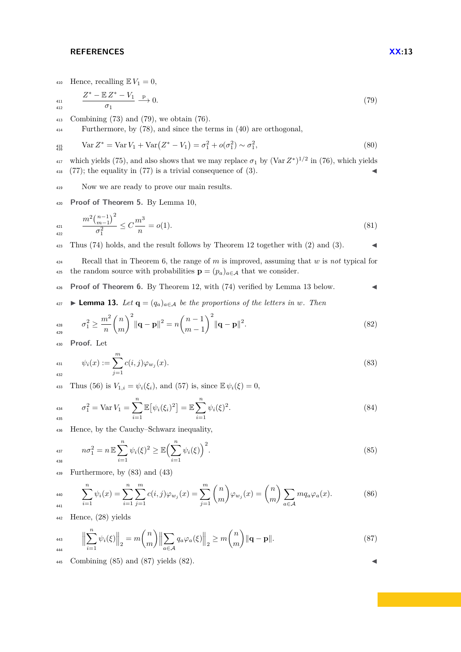#### **REFERENCES XX:13**

412

410 Hence, recalling  $\mathbb{E} V_1 = 0$ ,

$$
\frac{Z^* - \mathbb{E} Z^* - V_1}{\sigma_1} \xrightarrow{\mathbf{p}} 0. \tag{79}
$$

<sup>413</sup> Combining [\(73\)](#page-11-4) and [\(79\)](#page-12-0), we obtain [\(76\)](#page-11-5).

<sup>414</sup> Furthermore, by [\(78\)](#page-11-6), and since the terms in [\(40\)](#page-7-0) are orthogonal,

$$
\lim_{415} \qquad \text{Var } Z^* = \text{Var } V_1 + \text{Var} (Z^* - V_1) = \sigma_1^2 + o(\sigma_1^2) \sim \sigma_1^2,
$$
\n(80)

<sup>417</sup> which yields [\(75\)](#page-11-7), and also shows that we may replace  $\sigma_1$  by (Var  $Z^*$ )<sup>1/2</sup> in [\(76\)](#page-11-5), which yields <sup>418</sup> [\(77\)](#page-11-8); the equality in (77) is a trivial consequence of [\(3\)](#page-2-2).

<sup>419</sup> Now we are ready to prove our main results.

<sup>420</sup> **Proof of Theorem [5.](#page-5-0)** By Lemma [10,](#page-10-6)

$$
\frac{m^2 \binom{n-1}{m-1}^2}{\sigma_1^2} \le C \frac{m^3}{n} = o(1). \tag{81}
$$

<sup>423</sup> Thus [\(74\)](#page-11-3) holds, and the result follows by Theorem [12](#page-11-9) together with [\(2\)](#page-2-3) and [\(3\)](#page-2-2).

<sup>424</sup> Recall that in Theorem [6,](#page-6-0) the range of *m* is improved, assuming that *w* is *not* typical for 425 the random source with probabilities  $\mathbf{p} = (p_a)_{a \in \mathcal{A}}$  that we consider.

<sup>426</sup> **Proof of Theorem [6.](#page-6-0)** By Theorem [12,](#page-11-9) with [\(74\)](#page-11-3) verified by Lemma [13](#page-12-1) below. J

<span id="page-12-1"></span> $\text{427}$  **► Lemma 13.** Let  $\mathbf{q} = (q_a)_{a \in \mathcal{A}}$  be the proportions of the letters in w. Then

$$
\sigma_1^2 \ge \frac{m^2}{n} {n \choose m}^2 \|\mathbf{q} - \mathbf{p}\|^2 = n \binom{n-1}{m-1}^2 \|\mathbf{q} - \mathbf{p}\|^2. \tag{82}
$$

<sup>430</sup> **Proof.** Let

$$
\psi_i(x) := \sum_{j=1}^m c(i,j)\varphi_{w_j}(x). \tag{83}
$$

433 Thus [\(56\)](#page-9-2) is  $V_{1,i} = \psi_i(\xi_i)$ , and [\(57\)](#page-9-3) is, since  $\mathbb{E} \psi_i(\xi) = 0$ ,

$$
\sigma_1^2 = \text{Var}\, V_1 = \sum_{i=1}^n \mathbb{E}\big[\psi_i(\xi_i)^2\big] = \mathbb{E}\sum_{i=1}^n \psi_i(\xi)^2. \tag{84}
$$

<sup>436</sup> Hence, by the Cauchy–Schwarz inequality,

<span id="page-12-3"></span>
$$
n\sigma_1^2 = n \mathbb{E} \sum_{i=1}^n \psi_i(\xi)^2 \ge \mathbb{E} \Big( \sum_{i=1}^n \psi_i(\xi) \Big)^2.
$$
 (85)

<sup>439</sup> Furthermore, by [\(83\)](#page-12-2) and [\(43\)](#page-8-6)

$$
A_{440} \qquad \sum_{i=1}^{n} \psi_i(x) = \sum_{i=1}^{n} \sum_{j=1}^{m} c(i,j) \varphi_{w_j}(x) = \sum_{j=1}^{m} {n \choose m} \varphi_{w_j}(x) = {n \choose m} \sum_{a \in \mathcal{A}} m q_a \varphi_a(x). \tag{86}
$$

<sup>442</sup> Hence, [\(28\)](#page-6-5) yields

<span id="page-12-4"></span>
$$
443 \t\t ||\sum_{i=1}^{n} \psi_i(\xi)||_2 = m \binom{n}{m} ||\sum_{a \in \mathcal{A}} q_a \varphi_a(\xi)||_2 \ge m \binom{n}{m} ||\mathbf{q} - \mathbf{p}||. \tag{87}
$$

 $445$  Combining [\(85\)](#page-12-3) and [\(87\)](#page-12-4) yields [\(82\)](#page-12-5).

<span id="page-12-5"></span><span id="page-12-2"></span><span id="page-12-0"></span>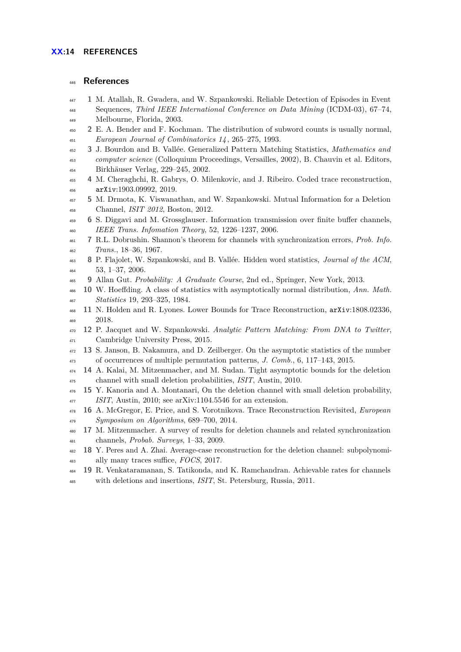# **References**

- <span id="page-13-5"></span>**1** M. Atallah, R. Gwadera, and W. Szpankowski. Reliable Detection of Episodes in Event
- Sequences, *Third IEEE International Conference on Data Mining* (ICDM-03), 67–74, Melbourne, Florida, 2003.
- <span id="page-13-2"></span> **2** E. A. Bender and F. Kochman. The distribution of subword counts is usually normal, *European Journal of Combinatorics 14* , 265–275, 1993.
- <span id="page-13-3"></span> **3** J. Bourdon and B. Vallée. Generalized Pattern Matching Statistics, *Mathematics and computer science* (Colloquium Proceedings, Versailles, 2002), B. Chauvin et al. Editors, Birkhäuser Verlag, 229–245, 2002.
- <span id="page-13-6"></span> **4** M. Cheraghchi, R. Gabrys, O. Milenkovic, and J. Ribeiro. Coded trace reconstruction, arXiv:1903.09992, 2019.
- <span id="page-13-7"></span> **5** M. Drmota, K. Viswanathan, and W. Szpankowski. Mutual Information for a Deletion Channel, *ISIT 2012*, Boston, 2012.
- <span id="page-13-8"></span> **6** S. Diggavi and M. Grossglauser. Information transmission over finite buffer channels, *IEEE Trans. Infomation Theory*, 52, 1226–1237, 2006.
- <span id="page-13-10"></span> **7** R.L. Dobrushin. Shannon's theorem for channels with synchronization errors, *Prob. Info. Trans.*, 18–36, 1967.
- <span id="page-13-0"></span> **8** P. Flajolet, W. Szpankowski, and B. Vallée. Hidden word statistics, *Journal of the ACM*, 53, 1–37, 2006.
- <span id="page-13-18"></span>**9** Allan Gut. *Probability: A Graduate Course*, 2nd ed., Springer, New York, 2013.
- <span id="page-13-4"></span> **10** W. Hoeffding. A class of statistics with asymptotically normal distribution, *Ann. Math. Statistics* 19, 293–325, 1984.
- <span id="page-13-14"></span> **11** N. Holden and R. Lyones. Lower Bounds for Trace Reconstruction, arXiv:1808.02336, 2018.
- <span id="page-13-1"></span> **12** P. Jacquet and W. Szpankowski. *Analytic Pattern Matching: From DNA to Twitter*, Cambridge University Press, 2015.
- <span id="page-13-17"></span> **13** S. Janson, B. Nakamura, and D. Zeilberger. On the asymptotic statistics of the number of occurrences of multiple permutation patterns, *J. Comb.*, 6, 117–143, 2015.
- <span id="page-13-11"></span> **14** A. Kalai, M. Mitzenmacher, and M. Sudan. Tight asymptotic bounds for the deletion channel with small deletion probabilities, *ISIT*, Austin, 2010.
- <span id="page-13-13"></span> **15** Y. Kanoria and A. Montanari, On the deletion channel with small deletion probability, *ISIT*, Austin, 2010; see arXiv:1104.5546 for an extension.
- <span id="page-13-15"></span> **16** A. McGregor, E. Price, and S. Vorotnikova. Trace Reconstruction Revisited, *European Symposium on Algorithms*, 689–700, 2014.
- <span id="page-13-9"></span> **17** M. Mitzenmacher. A survey of results for deletion channels and related synchronization channels, *Probab. Surveys*, 1–33, 2009.
- <span id="page-13-16"></span> **18** Y. Peres and A. Zhai. Average-case reconstruction for the deletion channel: subpolynomi-ally many traces suffice, *FOCS*, 2017.
- <span id="page-13-12"></span> **19** R. Venkataramanan, S. Tatikonda, and K. Ramchandran. Achievable rates for channels with deletions and insertions, *ISIT*, St. Petersburg, Russia, 2011.